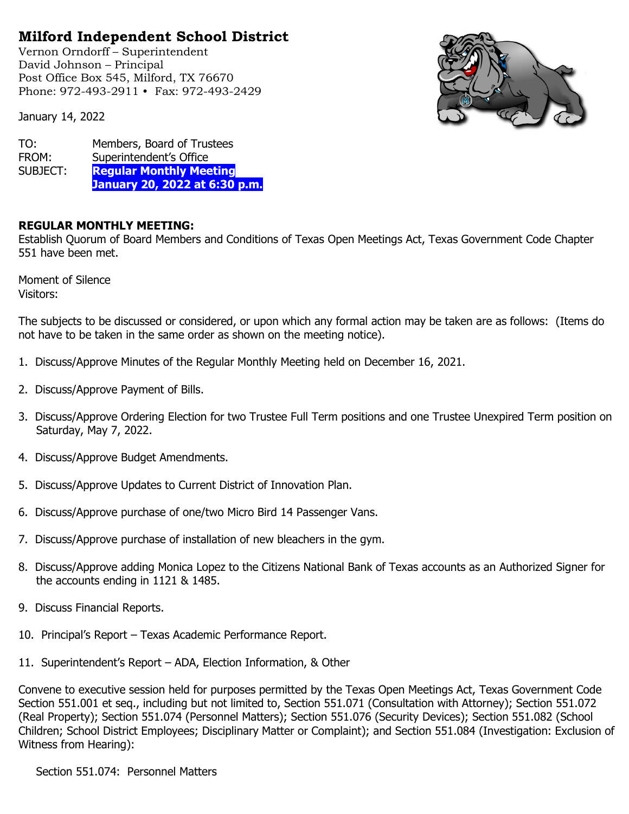## **Milford Independent School District**

Vernon Orndorff – Superintendent David Johnson – Principal Post Office Box 545, Milford, TX 76670 Phone: 972-493-2911 • Fax: 972-493-2429

January 14, 2022



TO: Members, Board of Trustees FROM: Superintendent's Office SUBJECT: **Regular Monthly Meeting January 20, 2022 at 6:30 p.m.**

## **REGULAR MONTHLY MEETING:**

Establish Quorum of Board Members and Conditions of Texas Open Meetings Act, Texas Government Code Chapter 551 have been met.

Moment of Silence Visitors:

The subjects to be discussed or considered, or upon which any formal action may be taken are as follows: (Items do not have to be taken in the same order as shown on the meeting notice).

- 1. Discuss/Approve Minutes of the Regular Monthly Meeting held on December 16, 2021.
- 2. Discuss/Approve Payment of Bills.
- 3. Discuss/Approve Ordering Election for two Trustee Full Term positions and one Trustee Unexpired Term position on Saturday, May 7, 2022.
- 4. Discuss/Approve Budget Amendments.
- 5. Discuss/Approve Updates to Current District of Innovation Plan.
- 6. Discuss/Approve purchase of one/two Micro Bird 14 Passenger Vans.
- 7. Discuss/Approve purchase of installation of new bleachers in the gym.
- 8. Discuss/Approve adding Monica Lopez to the Citizens National Bank of Texas accounts as an Authorized Signer for the accounts ending in 1121 & 1485.
- 9. Discuss Financial Reports.
- 10. Principal's Report Texas Academic Performance Report.
- 11. Superintendent's Report ADA, Election Information, & Other

Convene to executive session held for purposes permitted by the Texas Open Meetings Act, Texas Government Code Section 551.001 et seq., including but not limited to, Section 551.071 (Consultation with Attorney); Section 551.072 (Real Property); Section 551.074 (Personnel Matters); Section 551.076 (Security Devices); Section 551.082 (School Children; School District Employees; Disciplinary Matter or Complaint); and Section 551.084 (Investigation: Exclusion of Witness from Hearing):